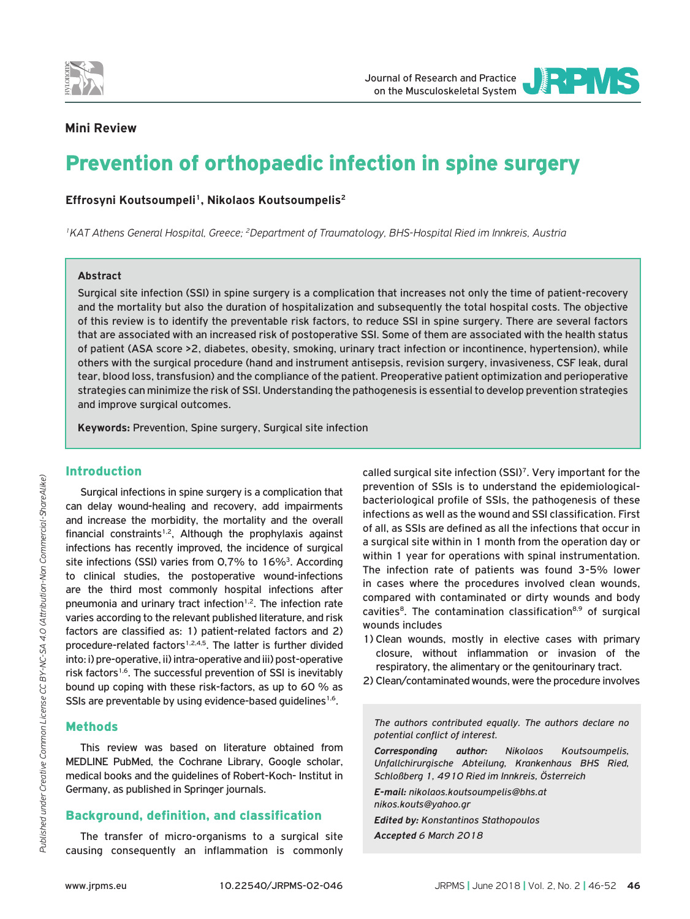



# **Mini Review**

# Prevention of orthopaedic infection in spine surgery

Effrosyni Koutsoumpeli<sup>1</sup>, Nikolaos Koutsoumpelis<sup>2</sup>

*1KAT Athens General Hospital, Greece; 2Department of Traumatology, BHS-Hospital Ried im Innkreis, Austria*

#### **Abstract**

Surgical site infection (SSI) in spine surgery is a complication that increases not only the time of patient-recovery and the mortality but also the duration of hospitalization and subsequently the total hospital costs. The objective of this review is to identify the preventable risk factors, to reduce SSI in spine surgery. There are several factors that are associated with an increased risk of postoperative SSI. Some of them are associated with the health status of patient (ASA score >2, diabetes, obesity, smoking, urinary tract infection or incontinence, hypertension), while others with the surgical procedure (hand and instrument antisepsis, revision surgery, invasiveness, CSF leak, dural tear, blood loss, transfusion) and the compliance of the patient. Preoperative patient optimization and perioperative strategies can minimize the risk of SSI. Understanding the pathogenesis is essential to develop prevention strategies and improve surgical outcomes.

**Keywords:** Prevention, Spine surgery, Surgical site infection

# Introduction

Surgical infections in spine surgery is a complication that can delay wound-healing and recovery, add impairments and increase the morbidity, the mortality and the overall financial constraints<sup>1,2</sup>, Although the prophylaxis against infections has recently improved, the incidence of surgical site infections (SSI) varies from 0,7% to 16%<sup>3</sup>. According to clinical studies, the postoperative wound-infections are the third most commonly hospital infections after pneumonia and urinary tract infection<sup>1,2</sup>. The infection rate varies according to the relevant published literature, and risk factors are classified as: 1) patient-related factors and 2) procedure-related factors<sup>1,2,4,5</sup>. The latter is further divided into: i) pre-operative, ii) intra-operative and iii) post-operative risk factors<sup>1,6</sup>. The successful prevention of SSI is inevitably bound up coping with these risk-factors, as up to 60 % as SSIs are preventable by using evidence-based guidelines<sup>1,6</sup>.

## Methods

This review was based on literature obtained from MEDLINE PubMed, the Cochrane Library, Google scholar, medical books and the guidelines of Robert-Koch- Institut in Germany, as published in Springer journals.

# Background, definition, and classification

The transfer of micro-organisms to a surgical site causing consequently an inflammation is commonly called surgical site infection (SSI)7. Very important for the prevention of SSIs is to understand the epidemiologicalbacteriological profile of SSIs, the pathogenesis of these infections as well as the wound and SSI classification. First of all, as SSIs are defined as all the infections that occur in a surgical site within in 1 month from the operation day or within 1 year for operations with spinal instrumentation. The infection rate of patients was found 3-5% lower in cases where the procedures involved clean wounds, compared with contaminated or dirty wounds and body cavities<sup>8</sup>. The contamination classification<sup>8,9</sup> of surgical wounds includes

- 1) Clean wounds, mostly in elective cases with primary closure, without inflammation or invasion of the respiratory, the alimentary or the genitourinary tract.
- 2) Clean/contaminated wounds, were the procedure involves

*The authors contributed equally. The authors declare no potential conflict of interest.*

*Corresponding author: Nikolaos Koutsoumpelis, Unfallchirurgische Abteilung, Krankenhaus BHS Ried, Schloßberg 1, 4910 Ried im Innkreis, Österreich*

*E-mail: nikolaos.koutsoumpelis@bhs.at nikos.kouts@yahoo.gr Edited by: Konstantinos Stathopoulos*

*Accepted 6 March 2018*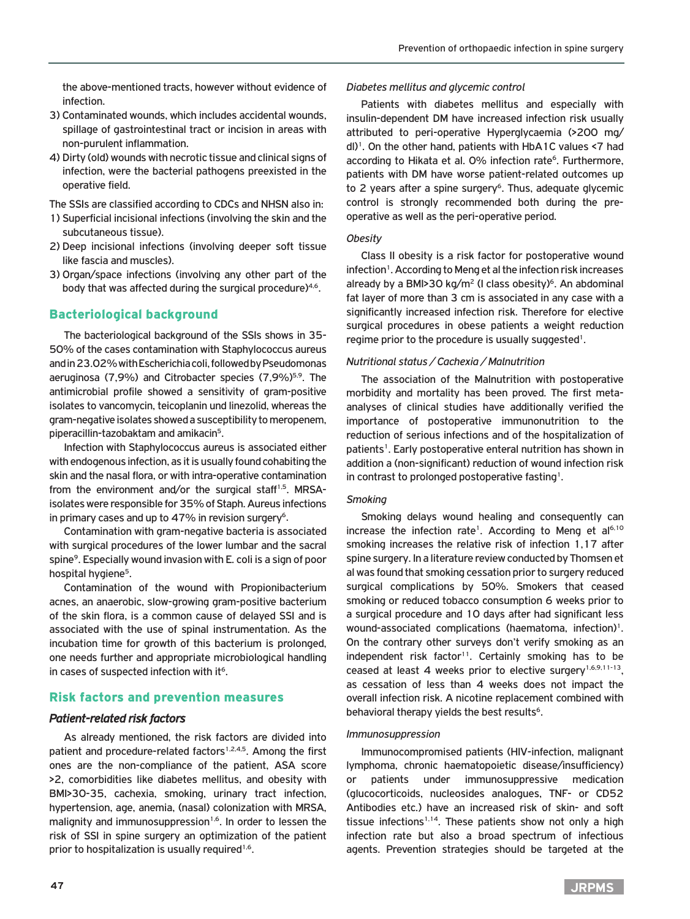the above-mentioned tracts, however without evidence of infection.

- 3) Contaminated wounds, which includes accidental wounds, spillage of gastrointestinal tract or incision in areas with non-purulent inflammation.
- 4) Dirty (old) wounds with necrotic tissue and clinical signs of infection, were the bacterial pathogens preexisted in the operative field.

The SSIs are classified according to CDCs and NHSN also in:

- 1) Superficial incisional infections (involving the skin and the subcutaneous tissue).
- 2) Deep incisional infections (involving deeper soft tissue like fascia and muscles).
- 3) Organ/space infections (involving any other part of the body that was affected during the surgical procedure)<sup>4,6</sup>.

## Bacteriological background

The bacteriological background of the SSIs shows in 35- 50% of the cases contamination with Staphylococcus aureus and in 23.02% with Escherichia coli, followed by Pseudomonas aeruginosa (7,9%) and Citrobacter species (7,9%)<sup>5,9</sup>. The antimicrobial profile showed a sensitivity of gram-positive isolates to vancomycin, teicoplanin und linezolid, whereas the gram-negative isolates showed a susceptibility to meropenem, piperacillin-tazobaktam and amikacin<sup>5</sup>.

Infection with Staphylococcus aureus is associated either with endogenous infection, as it is usually found cohabiting the skin and the nasal flora, or with intra-operative contamination from the environment and/or the surgical staff<sup>1,5</sup>. MRSAisolates were responsible for 35% of Staph. Aureus infections in primary cases and up to  $47\%$  in revision surgery<sup>6</sup>.

Contamination with gram-negative bacteria is associated with surgical procedures of the lower lumbar and the sacral spine<sup>9</sup>. Especially wound invasion with E. coli is a sign of poor hospital hygiene<sup>5</sup>.

Contamination of the wound with Propionibacterium acnes, an anaerobic, slow-growing gram-positive bacterium of the skin flora, is a common cause of delayed SSI and is associated with the use of spinal instrumentation. As the incubation time for growth of this bacterium is prolonged, one needs further and appropriate microbiological handling in cases of suspected infection with it<sup>6</sup>.

## Risk factors and prevention measures

## *Patient-related risk factors*

As already mentioned, the risk factors are divided into patient and procedure-related factors<sup>1,2,4,5</sup>. Among the first ones are the non-compliance of the patient, ASA score >2, comorbidities like diabetes mellitus, and obesity with BMI>30-35, cachexia, smoking, urinary tract infection, hypertension, age, anemia, (nasal) colonization with MRSA, malignity and immunosuppression<sup>1,6</sup>. In order to lessen the risk of SSI in spine surgery an optimization of the patient prior to hospitalization is usually required<sup>1,6</sup>.

# **47**

#### *Diabetes mellitus and glycemic control*

Patients with diabetes mellitus and especially with insulin-dependent DM have increased infection risk usually attributed to peri-operative Hyperglycaemia (>200 mg/  $dl$ <sup>1</sup>. On the other hand, patients with HbA1C values <7 had according to Hikata et al. 0% infection rate<sup>6</sup>. Furthermore, patients with DM have worse patient-related outcomes up to 2 years after a spine surgery<sup>6</sup>. Thus, adequate glycemic control is strongly recommended both during the preoperative as well as the peri-operative period.

#### *Obesity*

Class II obesity is a risk factor for postoperative wound infection<sup>1</sup>. According to Meng et al the infection risk increases already by a BMI>30 kg/m<sup>2</sup> (I class obesity)<sup>6</sup>. An abdominal fat layer of more than 3 cm is associated in any case with a significantly increased infection risk. Therefore for elective surgical procedures in obese patients a weight reduction regime prior to the procedure is usually suggested<sup>1</sup>.

#### *Nutritional status / Cachexia / Malnutrition*

The association of the Malnutrition with postoperative morbidity and mortality has been proved. The first metaanalyses of clinical studies have additionally verified the importance of postoperative immunonutrition to the reduction of serious infections and of the hospitalization of patients<sup>1</sup>. Early postoperative enteral nutrition has shown in addition a (non-significant) reduction of wound infection risk in contrast to prolonged postoperative fasting<sup>1</sup>.

## *Smoking*

Smoking delays wound healing and consequently can increase the infection rate<sup>1</sup>. According to Meng et  $al<sup>6,10</sup>$ smoking increases the relative risk of infection 1,17 after spine surgery. In a literature review conducted by Thomsen et al was found that smoking cessation prior to surgery reduced surgical complications by 50%. Smokers that ceased smoking or reduced tobacco consumption 6 weeks prior to a surgical procedure and 10 days after had significant less wound-associated complications (haematoma, infection)<sup>1</sup>. On the contrary other surveys don't verify smoking as an independent risk factor<sup>11</sup>. Certainly smoking has to be ceased at least 4 weeks prior to elective surgery<sup>1,6,9,11-13</sup>, as cessation of less than 4 weeks does not impact the overall infection risk. A nicotine replacement combined with behavioral therapy yields the best results<sup>6</sup>.

#### *Immunosuppression*

Immunocompromised patients (HIV-infection, malignant lymphoma, chronic haematopoietic disease/insufficiency) or patients under immunosuppressive medication (glucocorticoids, nucleosides analogues, TNF- or CD52 Antibodies etc.) have an increased risk of skin- and soft tissue infections<sup>1,14</sup>. These patients show not only a high infection rate but also a broad spectrum of infectious agents. Prevention strategies should be targeted at the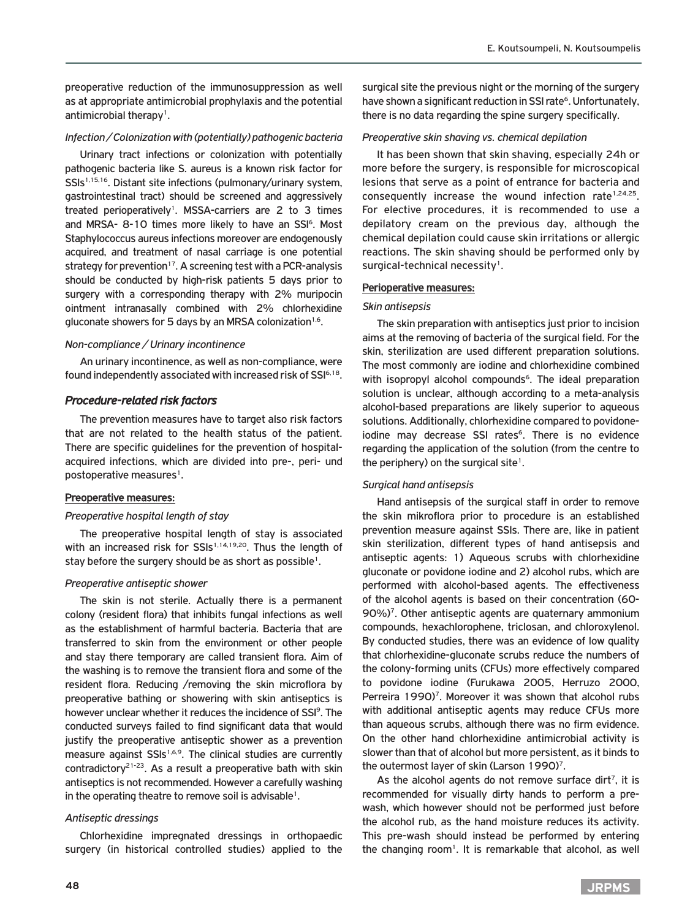preoperative reduction of the immunosuppression as well as at appropriate antimicrobial prophylaxis and the potential antimicrobial therapy<sup>1</sup>.

#### *Infection / Colonization with (potentially) pathogenic bacteria*

Urinary tract infections or colonization with potentially pathogenic bacteria like S. aureus is a known risk factor for SSIs<sup>1,15,16</sup>. Distant site infections (pulmonary/urinary system, gastrointestinal tract) should be screened and aggressively treated perioperatively1. MSSA-carriers are 2 to 3 times and MRSA- 8-10 times more likely to have an SSI<sup>6</sup>. Most Staphylococcus aureus infections moreover are endogenously acquired, and treatment of nasal carriage is one potential strategy for prevention<sup>17</sup>. A screening test with a PCR-analysis should be conducted by high-risk patients 5 days prior to surgery with a corresponding therapy with 2% muripocin ointment intranasally combined with 2% chlorhexidine gluconate showers for 5 days by an MRSA colonization<sup>1,6</sup>.

#### *Non-compliance / Urinary incontinence*

An urinary incontinence, as well as non-compliance, were found independently associated with increased risk of SSI6,18.

#### *Procedure-related risk factors*

The prevention measures have to target also risk factors that are not related to the health status of the patient. There are specific guidelines for the prevention of hospitalacquired infections, which are divided into pre-, peri- und postoperative measures<sup>1</sup>.

#### Preoperative measures:

#### *Preoperative hospital length of stay*

The preoperative hospital length of stay is associated with an increased risk for SSIs<sup>1,14,19,20</sup>. Thus the length of stay before the surgery should be as short as possible<sup>1</sup>.

#### *Preoperative antiseptic shower*

The skin is not sterile. Actually there is a permanent colony (resident flora) that inhibits fungal infections as well as the establishment of harmful bacteria. Bacteria that are transferred to skin from the environment or other people and stay there temporary are called transient flora. Aim of the washing is to remove the transient flora and some of the resident flora. Reducing /removing the skin microflora by preoperative bathing or showering with skin antiseptics is however unclear whether it reduces the incidence of SSI<sup>9</sup>. The conducted surveys failed to find significant data that would justify the preoperative antiseptic shower as a prevention measure against SSIs<sup>1,6,9</sup>. The clinical studies are currently contradictory<sup>21-23</sup>. As a result a preoperative bath with skin antiseptics is not recommended. However a carefully washing in the operating theatre to remove soil is advisable<sup>1</sup>.

#### *Antiseptic dressings*

Chlorhexidine impregnated dressings in orthopaedic surgery (in historical controlled studies) applied to the

surgical site the previous night or the morning of the surgery have shown a significant reduction in SSI rate<sup>6</sup>. Unfortunately, there is no data regarding the spine surgery specifically.

#### *Preoperative skin shaving vs. chemical depilation*

It has been shown that skin shaving, especially 24h or more before the surgery, is responsible for microscopical lesions that serve as a point of entrance for bacteria and consequently increase the wound infection rate<sup>1,24,25</sup>. For elective procedures, it is recommended to use a depilatory cream on the previous day, although the chemical depilation could cause skin irritations or allergic reactions. The skin shaving should be performed only by surgical-technical necessity<sup>1</sup>.

#### Perioperative measures:

#### *Skin antisepsis*

The skin preparation with antiseptics just prior to incision aims at the removing of bacteria of the surgical field. For the skin, sterilization are used different preparation solutions. The most commonly are iodine and chlorhexidine combined with isopropyl alcohol compounds<sup>6</sup>. The ideal preparation solution is unclear, although according to a meta-analysis alcohol-based preparations are likely superior to aqueous solutions. Additionally, chlorhexidine compared to povidoneiodine may decrease SSI rates<sup>6</sup>. There is no evidence regarding the application of the solution (from the centre to the periphery) on the surgical site<sup>1</sup>.

#### *Surgical hand antisepsis*

Hand antisepsis of the surgical staff in order to remove the skin mikroflora prior to procedure is an established prevention measure against SSIs. There are, like in patient skin sterilization, different types of hand antisepsis and antiseptic agents: 1) Aqueous scrubs with chlorhexidine gluconate or povidone iodine and 2) alcohol rubs, which are performed with alcohol-based agents. The effectiveness of the alcohol agents is based on their concentration (60- 90%)<sup>7</sup>. Other antiseptic agents are quaternary ammonium compounds, hexachlorophene, triclosan, and chloroxylenol. By conducted studies, there was an evidence of low quality that chlorhexidine-gluconate scrubs reduce the numbers of the colony-forming units (CFUs) more effectively compared to povidone iodine (Furukawa 2005, Herruzo 2000, Perreira 1990)<sup>7</sup>. Moreover it was shown that alcohol rubs with additional antiseptic agents may reduce CFUs more than aqueous scrubs, although there was no firm evidence. On the other hand chlorhexidine antimicrobial activity is slower than that of alcohol but more persistent, as it binds to the outermost layer of skin (Larson 1990)<sup>7</sup>.

As the alcohol agents do not remove surface dirt<sup>7</sup>, it is recommended for visually dirty hands to perform a prewash, which however should not be performed just before the alcohol rub, as the hand moisture reduces its activity. This pre-wash should instead be performed by entering the changing room<sup>1</sup>. It is remarkable that alcohol, as well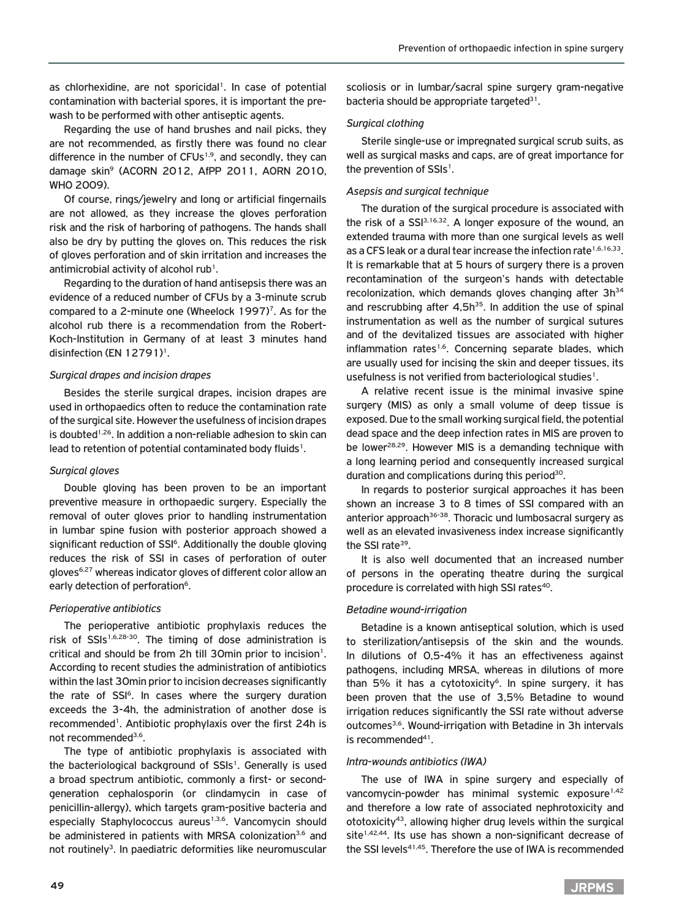as chlorhexidine, are not sporicidal<sup>1</sup>. In case of potential contamination with bacterial spores, it is important the prewash to be performed with other antiseptic agents.

Regarding the use of hand brushes and nail picks, they are not recommended, as firstly there was found no clear difference in the number of CFUs<sup>1,9</sup>, and secondly, they can damage skin9 (ACORN 2012, AfPP 2011, AORN 2010, WHO 2009).

Of course, rings/jewelry and long or artificial fingernails are not allowed, as they increase the gloves perforation risk and the risk of harboring of pathogens. The hands shall also be dry by putting the gloves on. This reduces the risk of gloves perforation and of skin irritation and increases the antimicrobial activity of alcohol rub<sup>1</sup>.

Regarding to the duration of hand antisepsis there was an evidence of a reduced number of CFUs by a 3-minute scrub compared to a 2-minute one (Wheelock  $1997$ )<sup>7</sup>. As for the alcohol rub there is a recommendation from the Robert-Koch-Institution in Germany of at least 3 minutes hand disinfection (EN 12791)<sup>1</sup>.

#### *Surgical drapes and incision drapes*

Besides the sterile surgical drapes, incision drapes are used in orthopaedics often to reduce the contamination rate of the surgical site. However the usefulness of incision drapes is doubted<sup>1,26</sup>. In addition a non-reliable adhesion to skin can lead to retention of potential contaminated body fluids<sup>1</sup>.

## *Surgical gloves*

Double gloving has been proven to be an important preventive measure in orthopaedic surgery. Especially the removal of outer gloves prior to handling instrumentation in lumbar spine fusion with posterior approach showed a significant reduction of SSI<sup>6</sup>. Additionally the double gloving reduces the risk of SSI in cases of perforation of outer gloves6,27 whereas indicator gloves of different color allow an early detection of perforation<sup>6</sup>.

## *Perioperative antibiotics*

The perioperative antibiotic prophylaxis reduces the risk of SSIs<sup>1,6,28-30</sup>. The timing of dose administration is critical and should be from 2h till 30min prior to incision<sup>1</sup>. According to recent studies the administration of antibiotics within the last 30min prior to incision decreases significantly the rate of SSI<sup>6</sup>. In cases where the surgery duration exceeds the 3-4h, the administration of another dose is recommended<sup>1</sup>. Antibiotic prophylaxis over the first 24h is not recommended<sup>3,6</sup>.

The type of antibiotic prophylaxis is associated with the bacteriological background of SSIs<sup>1</sup>. Generally is used a broad spectrum antibiotic, commonly a first- or secondgeneration cephalosporin (or clindamycin in case of penicillin-allergy), which targets gram-positive bacteria and especially Staphylococcus aureus<sup>1,3,6</sup>. Vancomycin should be administered in patients with MRSA colonization<sup>3,6</sup> and not routinely<sup>3</sup>. In paediatric deformities like neuromuscular

scoliosis or in lumbar/sacral spine surgery gram-negative bacteria should be appropriate targeted $31$ .

## *Surgical clothing*

Sterile single-use or impregnated surgical scrub suits, as well as surgical masks and caps, are of great importance for the prevention of SSIs<sup>1</sup>.

## *Asepsis and surgical technique*

The duration of the surgical procedure is associated with the risk of a SSI<sup>3,16,32</sup>. A longer exposure of the wound, an extended trauma with more than one surgical levels as well as a CFS leak or a dural tear increase the infection rate<sup>1,6,16,33</sup>. It is remarkable that at 5 hours of surgery there is a proven recontamination of the surgeon's hands with detectable recolonization, which demands gloves changing after 3h<sup>34</sup> and rescrubbing after  $4,5h^{35}$ . In addition the use of spinal instrumentation as well as the number of surgical sutures and of the devitalized tissues are associated with higher inflammation rates<sup>1,6</sup>. Concerning separate blades, which are usually used for incising the skin and deeper tissues, its usefulness is not verified from bacteriological studies<sup>1</sup>.

A relative recent issue is the minimal invasive spine surgery (MIS) as only a small volume of deep tissue is exposed. Due to the small working surgical field, the potential dead space and the deep infection rates in MIS are proven to be lower<sup>28,29</sup>. However MIS is a demanding technique with a long learning period and consequently increased surgical duration and complications during this period<sup>30</sup>.

In regards to posterior surgical approaches it has been shown an increase 3 to 8 times of SSI compared with an anterior approach<sup>36-38</sup>. Thoracic und lumbosacral surgery as well as an elevated invasiveness index increase significantly the SSI rate<sup>39</sup>.

It is also well documented that an increased number of persons in the operating theatre during the surgical procedure is correlated with high SSI rates<sup>40</sup>.

## *Betadine wound-irrigation*

Betadine is a known antiseptical solution, which is used to sterilization/antisepsis of the skin and the wounds. In dilutions of 0,5-4% it has an effectiveness against pathogens, including MRSA, whereas in dilutions of more than 5% it has a cytotoxicity<sup>6</sup>. In spine surgery, it has been proven that the use of 3,5% Betadine to wound irrigation reduces significantly the SSI rate without adverse outcomes3,6. Wound-irrigation with Betadine in 3h intervals is recommended<sup>41</sup>.

## *Intra-wounds antibiotics (IWA)*

The use of IWA in spine surgery and especially of vancomycin-powder has minimal systemic exposure<sup>1,42</sup> and therefore a low rate of associated nephrotoxicity and ototoxicity43, allowing higher drug levels within the surgical site<sup>1,42,44</sup>. Its use has shown a non-significant decrease of the SSI levels<sup>41,45</sup>. Therefore the use of IWA is recommended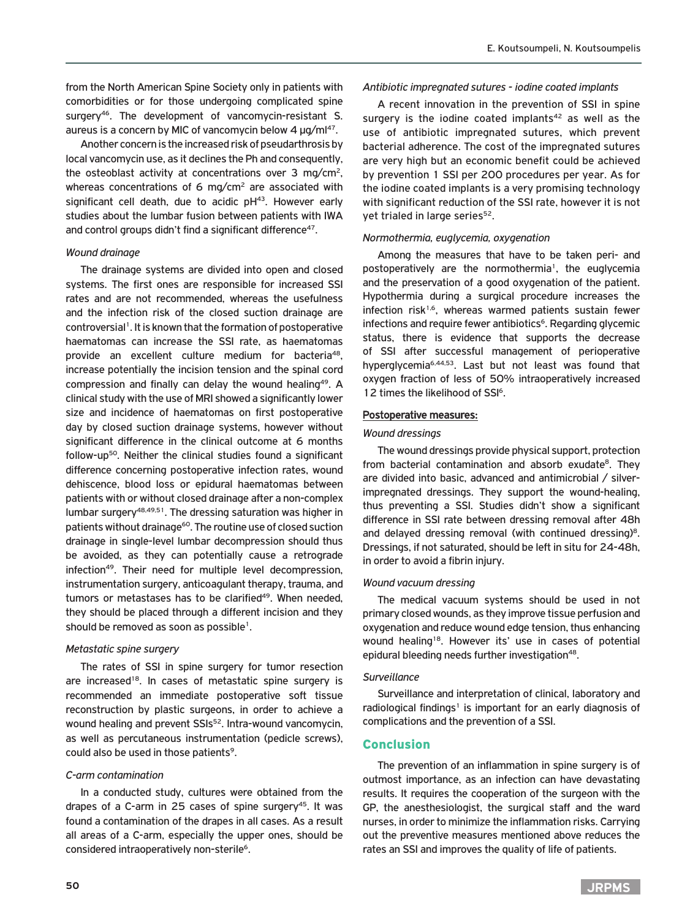from the North American Spine Society only in patients with comorbidities or for those undergoing complicated spine surgery<sup>46</sup>. The development of vancomycin-resistant S. aureus is a concern by MIC of vancomycin below 4 μg/ml<sup>47</sup>.

Another concern is the increased risk of pseudarthrosis by local vancomycin use, as it declines the Ph and consequently, the osteoblast activity at concentrations over 3 mg/cm2, whereas concentrations of 6 mg/cm<sup>2</sup> are associated with significant cell death, due to acidic  $pH<sup>43</sup>$ . However early studies about the lumbar fusion between patients with IWA and control groups didn't find a significant difference<sup>47</sup>.

#### *Wound drainage*

The drainage systems are divided into open and closed systems. The first ones are responsible for increased SSI rates and are not recommended, whereas the usefulness and the infection risk of the closed suction drainage are controversial<sup>1</sup>. It is known that the formation of postoperative haematomas can increase the SSI rate, as haematomas provide an excellent culture medium for bacteria48, increase potentially the incision tension and the spinal cord compression and finally can delay the wound healing<sup>49</sup>. A clinical study with the use of MRI showed a significantly lower size and incidence of haematomas on first postoperative day by closed suction drainage systems, however without significant difference in the clinical outcome at 6 months follow-up50. Neither the clinical studies found a significant difference concerning postoperative infection rates, wound dehiscence, blood loss or epidural haematomas between patients with or without closed drainage after a non-complex lumbar surgery48,49,51. The dressing saturation was higher in patients without drainage<sup>60</sup>. The routine use of closed suction drainage in single-level lumbar decompression should thus be avoided, as they can potentially cause a retrograde infection<sup>49</sup>. Their need for multiple level decompression, instrumentation surgery, anticoagulant therapy, trauma, and tumors or metastases has to be clarified<sup>49</sup>. When needed, they should be placed through a different incision and they should be removed as soon as possible<sup>1</sup>.

#### *Metastatic spine surgery*

The rates of SSI in spine surgery for tumor resection are increased<sup>18</sup>. In cases of metastatic spine surgery is recommended an immediate postoperative soft tissue reconstruction by plastic surgeons, in order to achieve a wound healing and prevent SSIs<sup>52</sup>. Intra-wound vancomycin, as well as percutaneous instrumentation (pedicle screws), could also be used in those patients<sup>9</sup>.

## *C-arm contamination*

In a conducted study, cultures were obtained from the drapes of a C-arm in 25 cases of spine surgery $45$ . It was found a contamination of the drapes in all cases. As a result all areas of a C-arm, especially the upper ones, should be considered intraoperatively non-sterile<sup>6</sup>.

## *Antibiotic impregnated sutures - iodine coated implants*

A recent innovation in the prevention of SSI in spine surgery is the iodine coated implants<sup>42</sup> as well as the use of antibiotic impregnated sutures, which prevent bacterial adherence. The cost of the impregnated sutures are very high but an economic benefit could be achieved by prevention 1 SSI per 200 procedures per year. As for the iodine coated implants is a very promising technology with significant reduction of the SSI rate, however it is not yet trialed in large series<sup>52</sup>.

## *Normothermia, euglycemia, oxygenation*

Among the measures that have to be taken peri- and postoperatively are the normothermia<sup>1</sup>, the euglycemia and the preservation of a good oxygenation of the patient. Hypothermia during a surgical procedure increases the infection risk<sup>1,6</sup>, whereas warmed patients sustain fewer infections and require fewer antibiotics<sup>6</sup>. Regarding glycemic status, there is evidence that supports the decrease of SSI after successful management of perioperative hyperglycemia6,44,53. Last but not least was found that oxygen fraction of less of 50% intraoperatively increased 12 times the likelihood of SSI<sup>6</sup>.

## Postoperative measures:

## *Wound dressings*

The wound dressings provide physical support, protection from bacterial contamination and absorb exudate<sup>8</sup>. They are divided into basic, advanced and antimicrobial / silverimpregnated dressings. They support the wound-healing, thus preventing a SSI. Studies didn't show a significant difference in SSI rate between dressing removal after 48h and delayed dressing removal (with continued dressing)<sup>8</sup>. Dressings, if not saturated, should be left in situ for 24-48h, in order to avoid a fibrin injury.

#### *Wound vacuum dressing*

The medical vacuum systems should be used in not primary closed wounds, as they improve tissue perfusion and oxygenation and reduce wound edge tension, thus enhancing wound healing<sup>18</sup>. However its' use in cases of potential epidural bleeding needs further investigation<sup>48</sup>.

#### *Surveillance*

Surveillance and interpretation of clinical, laboratory and radiological findings<sup>1</sup> is important for an early diagnosis of complications and the prevention of a SSI.

# Conclusion

The prevention of an inflammation in spine surgery is of outmost importance, as an infection can have devastating results. It requires the cooperation of the surgeon with the GP, the anesthesiologist, the surgical staff and the ward nurses, in order to minimize the inflammation risks. Carrying out the preventive measures mentioned above reduces the rates an SSI and improves the quality of life of patients.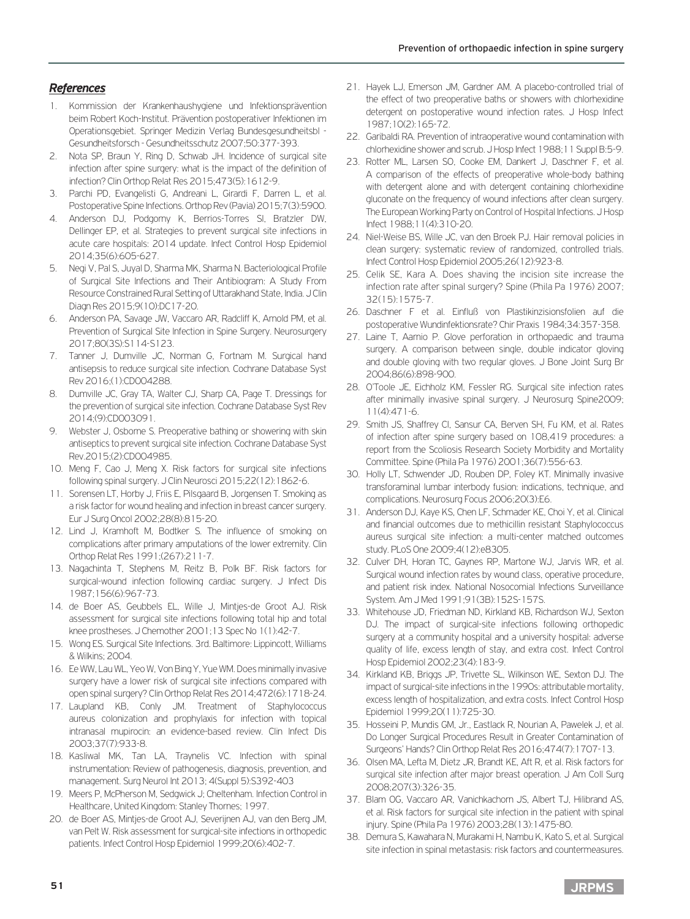# *References*

- 1. Kommission der Krankenhaushygiene und Infektionsprävention beim Robert Koch-Institut. Prävention postoperativer Infektionen im Operationsgebiet. Springer Medizin Verlag Bundesgesundheitsbl - Gesundheitsforsch - Gesundheitsschutz 2007;50:377-393.
- 2. Nota SP, Braun Y, Ring D, Schwab JH. Incidence of surgical site infection after spine surgery: what is the impact of the definition of infection? Clin Orthop Relat Res 2015;473(5):1612-9.
- 3. Parchi PD, Evangelisti G, Andreani L, Girardi F, Darren L, et al. Postoperative Spine Infections. Orthop Rev (Pavia) 2015;7(3):5900.
- 4. Anderson DJ, Podgorny K, Berrios-Torres SI, Bratzler DW, Dellinger EP, et al. Strategies to prevent surgical site infections in acute care hospitals: 2014 update. Infect Control Hosp Epidemiol 2014;35(6):605-627.
- 5. Negi V, Pal S, Juyal D, Sharma MK, Sharma N. Bacteriological Profile of Surgical Site Infections and Their Antibiogram: A Study From Resource Constrained Rural Setting of Uttarakhand State, India. J Clin Diagn Res 2015;9(10):DC17-20.
- 6. Anderson PA, Savage JW, Vaccaro AR, Radcliff K, Arnold PM, et al. Prevention of Surgical Site Infection in Spine Surgery. Neurosurgery. 2017;80(3S):S114-S123.
- 7. Tanner J, Dumville JC, Norman G, Fortnam M. Surgical hand antisepsis to reduce surgical site infection. Cochrane Database Syst Rev 2016;(1):CD004288.
- 8. Dumville JC, Gray TA, Walter CJ, Sharp CA, Page T. Dressings for the prevention of surgical site infection. Cochrane Database Syst Rev 2014;(9):CD003091.
- 9. Webster J, Osborne S. Preoperative bathing or showering with skin antiseptics to prevent surgical site infection. Cochrane Database Syst Rev.2015;(2):CD004985.
- 10. Meng F, Cao J, Meng X. Risk factors for surgical site infections following spinal surgery. J Clin Neurosci 2015;22(12):1862-6.
- 11. Sorensen LT, Horby J, Friis E, Pilsgaard B, Jorgensen T. Smoking as a risk factor for wound healing and infection in breast cancer surgery. Eur J Surg Oncol 2002;28(8):815-20.
- 12. Lind J, Kramhoft M, Bodtker S. The influence of smoking on complications after primary amputations of the lower extremity. Clin Orthop Relat Res 1991;(267):211-7.
- 13. Nagachinta T, Stephens M, Reitz B, Polk BF. Risk factors for surgical-wound infection following cardiac surgery. J Infect Dis 1987;156(6):967-73.
- 14. de Boer AS, Geubbels EL, Wille J, Mintjes-de Groot AJ. Risk assessment for surgical site infections following total hip and total knee prostheses. J Chemother 2001;13 Spec No 1(1):42-7.
- 15. Wong ES. Surgical Site Infections. 3rd. Baltimore: Lippincott, Williams & Wilkins; 2004.
- 16. Ee WW, Lau WL, Yeo W, Von Bing Y, Yue WM. Does minimally invasive surgery have a lower risk of surgical site infections compared with open spinal surgery? Clin Orthop Relat Res 2014;472(6):1718-24.
- 17. Laupland KB, Conly JM. Treatment of Staphylococcus aureus colonization and prophylaxis for infection with topical intranasal mupirocin: an evidence-based review. Clin Infect Dis 2003;37(7):933-8.
- 18. Kasliwal MK, Tan LA, Traynelis VC. Infection with spinal instrumentation: Review of pathogenesis, diagnosis, prevention, and management. Surg Neurol Int 2013; 4(Suppl 5):S392-403
- 19. Meers P, McPherson M, Sedgwick J; Cheltenham. Infection Control in Healthcare, United Kingdom: Stanley Thornes; 1997.
- 20. de Boer AS, Mintjes-de Groot AJ, Severijnen AJ, van den Berg JM, van Pelt W. Risk assessment for surgical-site infections in orthopedic patients. Infect Control Hosp Epidemiol 1999;20(6):402-7.
- 21. Hayek LJ, Emerson JM, Gardner AM. A placebo-controlled trial of the effect of two preoperative baths or showers with chlorhexidine detergent on postoperative wound infection rates. J Hosp Infect 1987;10(2):165-72.
- 22. Garibaldi RA. Prevention of intraoperative wound contamination with chlorhexidine shower and scrub. J Hosp Infect 1988;11 Suppl B:5-9.
- 23. Rotter ML, Larsen SO, Cooke EM, Dankert J, Daschner F, et al. A comparison of the effects of preoperative whole-body bathing with detergent alone and with detergent containing chlorhexidine gluconate on the frequency of wound infections after clean surgery. The European Working Party on Control of Hospital Infections. J Hosp Infect 1988;11(4):310-20.
- 24. Niel-Weise BS, Wille JC, van den Broek PJ. Hair removal policies in clean surgery: systematic review of randomized, controlled trials. Infect Control Hosp Epidemiol 2005;26(12):923-8.
- 25. Celik SE, Kara A. Does shaving the incision site increase the infection rate after spinal surgery? Spine (Phila Pa 1976) 2007; 32(15):1575-7.
- 26. Daschner F et al. Einfluß von Plastikinzisionsfolien auf die postoperative Wundinfektionsrate? Chir Praxis 1984;34:357-358.
- 27. Laine T, Aarnio P. Glove perforation in orthopaedic and trauma surgery. A comparison between single, double indicator gloving and double gloving with two regular gloves. J Bone Joint Surg Br 2004;86(6):898-900.
- 28. O'Toole JE, Eichholz KM, Fessler RG. Surgical site infection rates after minimally invasive spinal surgery. J Neurosurg Spine2009; 11(4):471-6.
- 29. Smith JS, Shaffrey CI, Sansur CA, Berven SH, Fu KM, et al. Rates of infection after spine surgery based on 108,419 procedures: a report from the Scoliosis Research Society Morbidity and Mortality Committee. Spine (Phila Pa 1976) 2001;36(7):556-63.
- 30. Holly LT, Schwender JD, Rouben DP, Foley KT. Minimally invasive transforaminal lumbar interbody fusion: indications, technique, and complications. Neurosurg Focus 2006;20(3):E6.
- 31. Anderson DJ, Kaye KS, Chen LF, Schmader KE, Choi Y, et al. Clinical and financial outcomes due to methicillin resistant Staphylococcus aureus surgical site infection: a multi-center matched outcomes study. PLoS One 2009;4(12):e8305.
- 32. Culver DH, Horan TC, Gaynes RP, Martone WJ, Jarvis WR, et al. Surgical wound infection rates by wound class, operative procedure, and patient risk index. National Nosocomial Infections Surveillance System. Am J Med 1991;91(3B):152S-157S.
- 33. Whitehouse JD, Friedman ND, Kirkland KB, Richardson WJ, Sexton DJ. The impact of surgical-site infections following orthopedic surgery at a community hospital and a university hospital: adverse quality of life, excess length of stay, and extra cost. Infect Control Hosp Epidemiol 2002;23(4):183-9.
- 34. Kirkland KB, Briggs JP, Trivette SL, Wilkinson WE, Sexton DJ. The impact of surgical-site infections in the 1990s: attributable mortality, excess length of hospitalization, and extra costs. Infect Control Hosp Epidemiol 1999;20(11):725-30.
- 35. Hosseini P, Mundis GM, Jr., Eastlack R, Nourian A, Pawelek J, et al. Do Longer Surgical Procedures Result in Greater Contamination of Surgeons' Hands? Clin Orthop Relat Res 2016;474(7):1707-13.
- 36. Olsen MA, Lefta M, Dietz JR, Brandt KE, Aft R, et al. Risk factors for surgical site infection after major breast operation. J Am Coll Surg 2008;207(3):326-35.
- 37. Blam OG, Vaccaro AR, Vanichkachorn JS, Albert TJ, Hilibrand AS, et al. Risk factors for surgical site infection in the patient with spinal injury. Spine (Phila Pa 1976) 2003;28(13):1475-80.
- 38. Demura S, Kawahara N, Murakami H, Nambu K, Kato S, et al. Surgical site infection in spinal metastasis: risk factors and countermeasures.